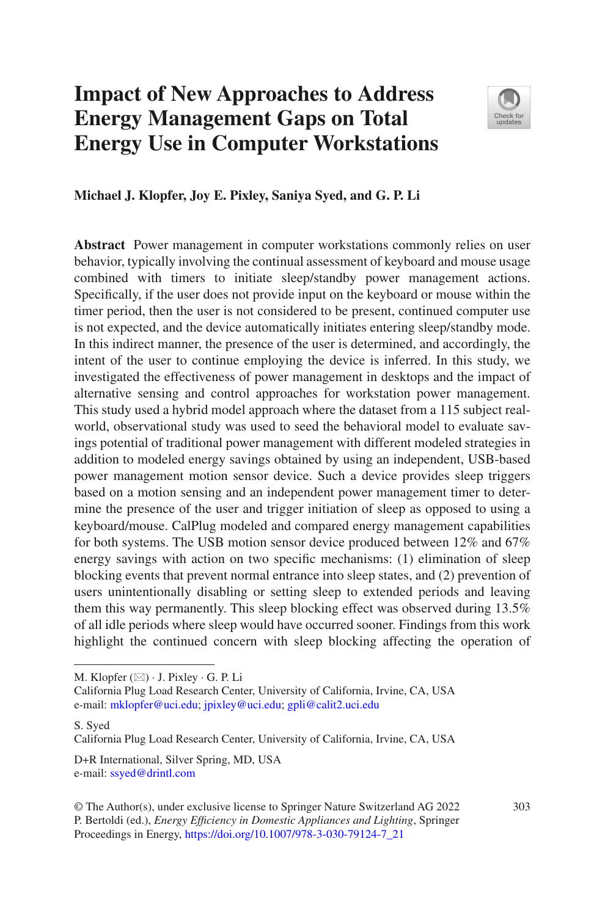# **Impact of New Approaches to Address Energy Management Gaps on Total Energy Use in Computer Workstations**



#### **Michael J. Klopfer, Joy E. Pixley, Saniya Syed, and G. P. Li**

**Abstract** Power management in computer workstations commonly relies on user behavior, typically involving the continual assessment of keyboard and mouse usage combined with timers to initiate sleep/standby power management actions. Specifcally, if the user does not provide input on the keyboard or mouse within the timer period, then the user is not considered to be present, continued computer use is not expected, and the device automatically initiates entering sleep/standby mode. In this indirect manner, the presence of the user is determined, and accordingly, the intent of the user to continue employing the device is inferred. In this study, we investigated the effectiveness of power management in desktops and the impact of alternative sensing and control approaches for workstation power management. This study used a hybrid model approach where the dataset from a 115 subject realworld, observational study was used to seed the behavioral model to evaluate savings potential of traditional power management with different modeled strategies in addition to modeled energy savings obtained by using an independent, USB-based power management motion sensor device. Such a device provides sleep triggers based on a motion sensing and an independent power management timer to determine the presence of the user and trigger initiation of sleep as opposed to using a keyboard/mouse. CalPlug modeled and compared energy management capabilities for both systems. The USB motion sensor device produced between 12% and 67% energy savings with action on two specifc mechanisms: (1) elimination of sleep blocking events that prevent normal entrance into sleep states, and (2) prevention of users unintentionally disabling or setting sleep to extended periods and leaving them this way permanently. This sleep blocking effect was observed during 13.5% of all idle periods where sleep would have occurred sooner. Findings from this work highlight the continued concern with sleep blocking affecting the operation of

S. Syed

D+R International, Silver Spring, MD, USA e-mail: [ssyed@drintl.com](mailto:ssyed@drintl.com)

M. Klopfer  $(\boxtimes) \cdot$  J. Pixley  $\cdot$  G. P. Li

California Plug Load Research Center, University of California, Irvine, CA, USA e-mail: [mklopfer@uci.edu](mailto:mklopfer@uci.edu)[; jpixley@uci.edu](mailto:jpixley@uci.edu); [gpli@calit2.uci.edu](mailto:gpli@calit2.uci.edu)

California Plug Load Research Center, University of California, Irvine, CA, USA

<sup>©</sup> The Author(s), under exclusive license to Springer Nature Switzerland AG 2022 303 P. Bertoldi (ed.), *Energy Effciency in Domestic Appliances and Lighting*, Springer Proceedings in Energy, [https://doi.org/10.1007/978-3-030-79124-7\\_21](https://doi.org/10.1007/978-3-030-79124-7_21#DOI)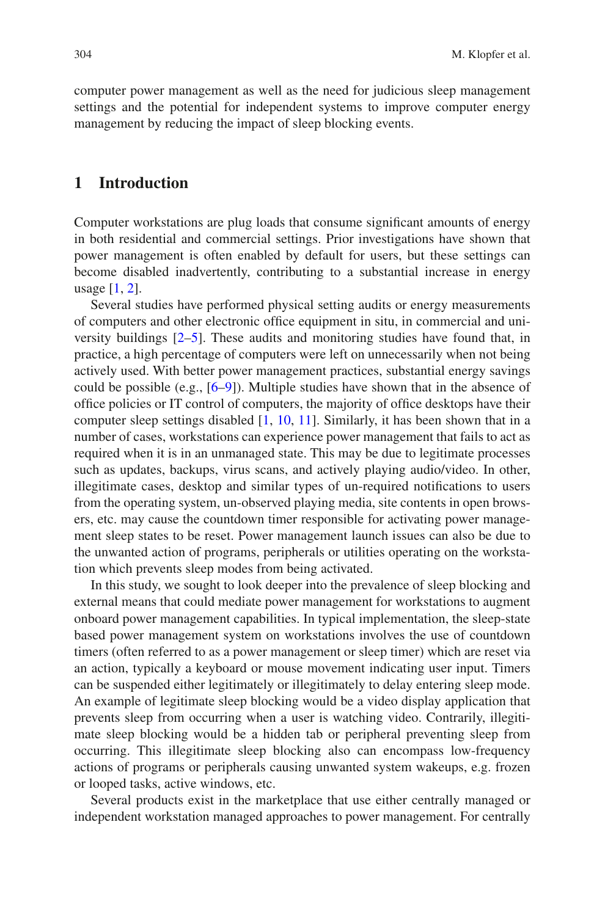computer power management as well as the need for judicious sleep management settings and the potential for independent systems to improve computer energy management by reducing the impact of sleep blocking events.

#### **1 Introduction**

Computer workstations are plug loads that consume signifcant amounts of energy in both residential and commercial settings. Prior investigations have shown that power management is often enabled by default for users, but these settings can become disabled inadvertently, contributing to a substantial increase in energy usage [\[1](#page-15-0), [2](#page-15-1)].

Several studies have performed physical setting audits or energy measurements of computers and other electronic offce equipment in situ, in commercial and university buildings [[2–](#page-15-1)[5\]](#page-15-2). These audits and monitoring studies have found that, in practice, a high percentage of computers were left on unnecessarily when not being actively used. With better power management practices, substantial energy savings could be possible (e.g., [[6–](#page-15-3)[9\]](#page-15-4)). Multiple studies have shown that in the absence of offce policies or IT control of computers, the majority of offce desktops have their computer sleep settings disabled [[1,](#page-15-0) [10](#page-15-5), [11\]](#page-15-6). Similarly, it has been shown that in a number of cases, workstations can experience power management that fails to act as required when it is in an unmanaged state. This may be due to legitimate processes such as updates, backups, virus scans, and actively playing audio/video. In other, illegitimate cases, desktop and similar types of un-required notifcations to users from the operating system, un-observed playing media, site contents in open browsers, etc. may cause the countdown timer responsible for activating power management sleep states to be reset. Power management launch issues can also be due to the unwanted action of programs, peripherals or utilities operating on the workstation which prevents sleep modes from being activated.

In this study, we sought to look deeper into the prevalence of sleep blocking and external means that could mediate power management for workstations to augment onboard power management capabilities. In typical implementation, the sleep-state based power management system on workstations involves the use of countdown timers (often referred to as a power management or sleep timer) which are reset via an action, typically a keyboard or mouse movement indicating user input. Timers can be suspended either legitimately or illegitimately to delay entering sleep mode. An example of legitimate sleep blocking would be a video display application that prevents sleep from occurring when a user is watching video. Contrarily, illegitimate sleep blocking would be a hidden tab or peripheral preventing sleep from occurring. This illegitimate sleep blocking also can encompass low-frequency actions of programs or peripherals causing unwanted system wakeups, e.g. frozen or looped tasks, active windows, etc.

Several products exist in the marketplace that use either centrally managed or independent workstation managed approaches to power management. For centrally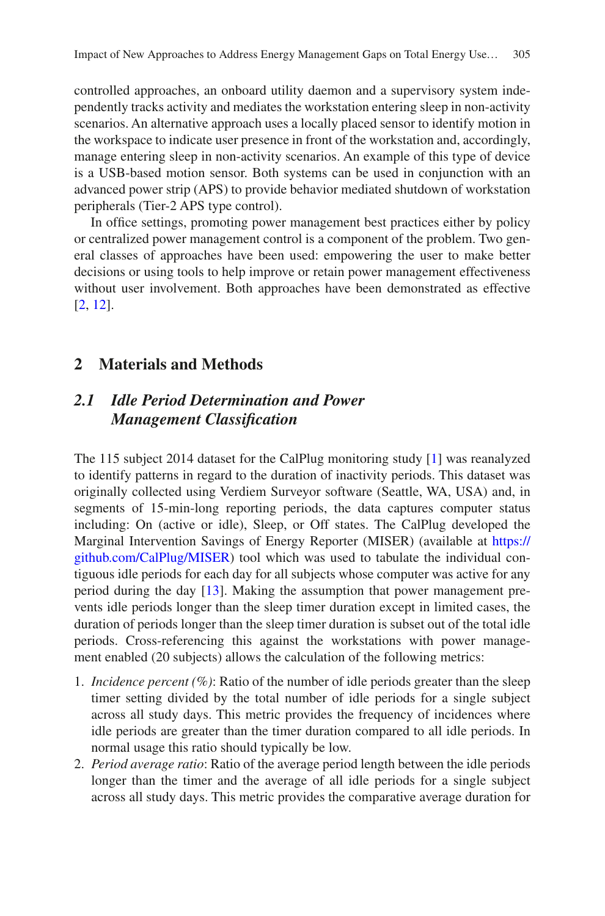controlled approaches, an onboard utility daemon and a supervisory system independently tracks activity and mediates the workstation entering sleep in non-activity scenarios. An alternative approach uses a locally placed sensor to identify motion in the workspace to indicate user presence in front of the workstation and, accordingly, manage entering sleep in non-activity scenarios. An example of this type of device is a USB-based motion sensor. Both systems can be used in conjunction with an advanced power strip (APS) to provide behavior mediated shutdown of workstation peripherals (Tier-2 APS type control).

In office settings, promoting power management best practices either by policy or centralized power management control is a component of the problem. Two general classes of approaches have been used: empowering the user to make better decisions or using tools to help improve or retain power management effectiveness without user involvement. Both approaches have been demonstrated as effective [\[2](#page-15-1), [12](#page-15-7)].

## **2 Materials and Methods**

# *2.1 Idle Period Determination and Power Management Classifcation*

The 115 subject 2014 dataset for the CalPlug monitoring study [\[1](#page-15-0)] was reanalyzed to identify patterns in regard to the duration of inactivity periods. This dataset was originally collected using Verdiem Surveyor software (Seattle, WA, USA) and, in segments of 15-min-long reporting periods, the data captures computer status including: On (active or idle), Sleep, or Off states. The CalPlug developed the Marginal Intervention Savings of Energy Reporter (MISER) (available at [https://](https://github.com/CalPlug/MISER) [github.com/CalPlug/MISER](https://github.com/CalPlug/MISER)) tool which was used to tabulate the individual contiguous idle periods for each day for all subjects whose computer was active for any period during the day [\[13](#page-15-8)]. Making the assumption that power management prevents idle periods longer than the sleep timer duration except in limited cases, the duration of periods longer than the sleep timer duration is subset out of the total idle periods. Cross-referencing this against the workstations with power management enabled (20 subjects) allows the calculation of the following metrics:

- 1. *Incidence percent (%)*: Ratio of the number of idle periods greater than the sleep timer setting divided by the total number of idle periods for a single subject across all study days. This metric provides the frequency of incidences where idle periods are greater than the timer duration compared to all idle periods. In normal usage this ratio should typically be low.
- 2. *Period average ratio*: Ratio of the average period length between the idle periods longer than the timer and the average of all idle periods for a single subject across all study days. This metric provides the comparative average duration for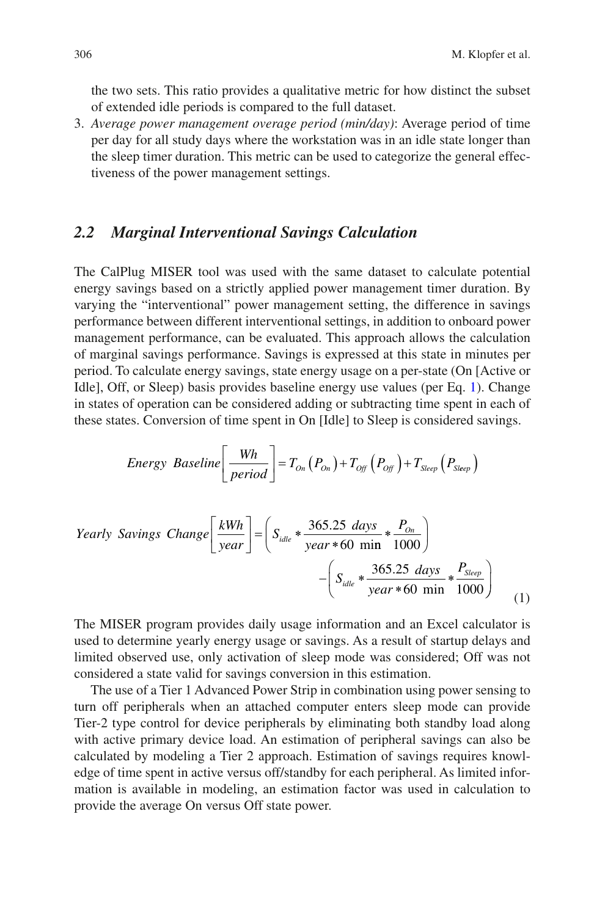the two sets. This ratio provides a qualitative metric for how distinct the subset of extended idle periods is compared to the full dataset.

3. *Average power management overage period (min/day)*: Average period of time per day for all study days where the workstation was in an idle state longer than the sleep timer duration. This metric can be used to categorize the general effectiveness of the power management settings.

#### *2.2 Marginal Interventional Savings Calculation*

The CalPlug MISER tool was used with the same dataset to calculate potential energy savings based on a strictly applied power management timer duration. By varying the "interventional" power management setting, the difference in savings performance between different interventional settings, in addition to onboard power management performance, can be evaluated. This approach allows the calculation of marginal savings performance. Savings is expressed at this state in minutes per period. To calculate energy savings, state energy usage on a per-state (On [Active or Idle], Off, or Sleep) basis provides baseline energy use values (per Eq. [1](#page-3-0)). Change in states of operation can be considered adding or subtracting time spent in each of these states. Conversion of time spent in On [Idle] to Sleep is considered savings.

Energy Baseline
$$
\left[\frac{Wh}{period}\right] = T_{On}(P_{On}) + T_{Off}(P_{Off}) + T_{Sleep}(P_{Sleep})
$$

Yearly Savings Change 
$$
\left[\frac{kWh}{year}\right] = \left(S_{idle} * \frac{365.25 \text{ days}}{year * 60 \text{ min}} * \frac{P_{On}}{1000}\right)
$$
  
-  $\left(S_{idle} * \frac{365.25 \text{ days}}{year * 60 \text{ min}} * \frac{P_{Sleep}}{1000}\right)$  (1)

<span id="page-3-0"></span>The MISER program provides daily usage information and an Excel calculator is used to determine yearly energy usage or savings. As a result of startup delays and limited observed use, only activation of sleep mode was considered; Off was not considered a state valid for savings conversion in this estimation.

The use of a Tier 1 Advanced Power Strip in combination using power sensing to turn off peripherals when an attached computer enters sleep mode can provide Tier-2 type control for device peripherals by eliminating both standby load along with active primary device load. An estimation of peripheral savings can also be calculated by modeling a Tier 2 approach. Estimation of savings requires knowledge of time spent in active versus off/standby for each peripheral. As limited information is available in modeling, an estimation factor was used in calculation to provide the average On versus Off state power.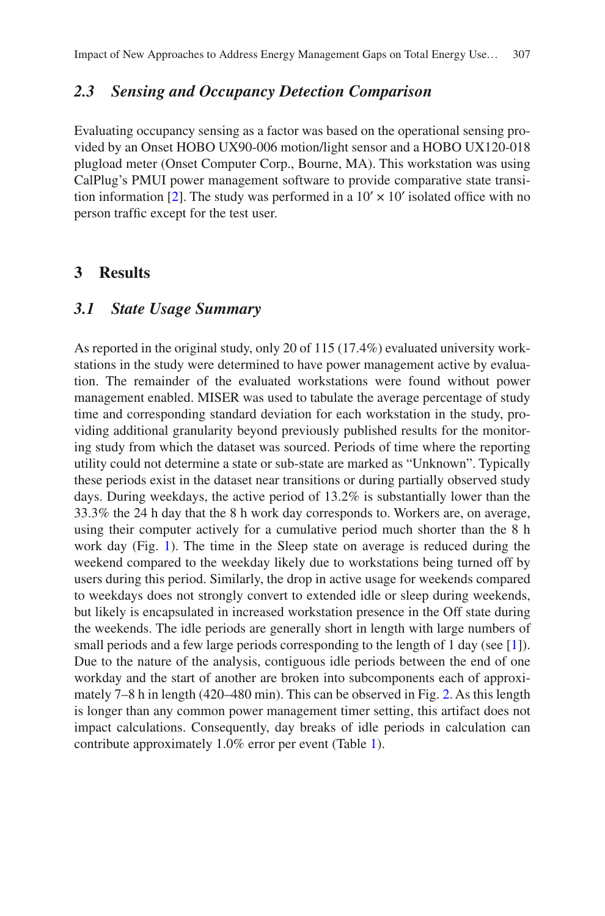## *2.3 Sensing and Occupancy Detection Comparison*

Evaluating occupancy sensing as a factor was based on the operational sensing provided by an Onset HOBO UX90-006 motion/light sensor and a HOBO UX120-018 plugload meter (Onset Computer Corp., Bourne, MA). This workstation was using CalPlug's PMUI power management software to provide comparative state transi-tion information [[2\]](#page-15-1). The study was performed in a  $10' \times 10'$  isolated office with no person traffc except for the test user.

#### **3 Results**

#### *3.1 State Usage Summary*

As reported in the original study, only 20 of 115 (17.4%) evaluated university workstations in the study were determined to have power management active by evaluation. The remainder of the evaluated workstations were found without power management enabled. MISER was used to tabulate the average percentage of study time and corresponding standard deviation for each workstation in the study, providing additional granularity beyond previously published results for the monitoring study from which the dataset was sourced. Periods of time where the reporting utility could not determine a state or sub-state are marked as "Unknown". Typically these periods exist in the dataset near transitions or during partially observed study days. During weekdays, the active period of 13.2% is substantially lower than the 33.3% the 24 h day that the 8 h work day corresponds to. Workers are, on average, using their computer actively for a cumulative period much shorter than the 8 h work day (Fig. [1](#page-5-0)). The time in the Sleep state on average is reduced during the weekend compared to the weekday likely due to workstations being turned off by users during this period. Similarly, the drop in active usage for weekends compared to weekdays does not strongly convert to extended idle or sleep during weekends, but likely is encapsulated in increased workstation presence in the Off state during the weekends. The idle periods are generally short in length with large numbers of small periods and a few large periods corresponding to the length of 1 day (see [\[1](#page-15-0)]). Due to the nature of the analysis, contiguous idle periods between the end of one workday and the start of another are broken into subcomponents each of approximately 7–8 h in length (420–480 min). This can be observed in Fig. [2.](#page-5-1) As this length is longer than any common power management timer setting, this artifact does not impact calculations. Consequently, day breaks of idle periods in calculation can contribute approximately 1.0% error per event (Table [1](#page-6-0)).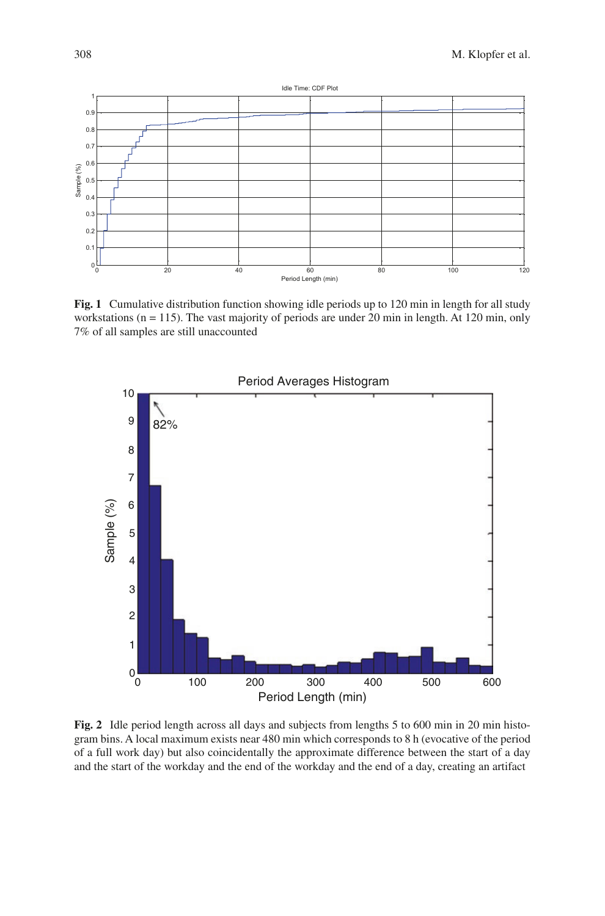<span id="page-5-0"></span>

**Fig. 1** Cumulative distribution function showing idle periods up to 120 min in length for all study workstations  $(n = 115)$ . The vast majority of periods are under 20 min in length. At 120 min, only 7% of all samples are still unaccounted

<span id="page-5-1"></span>

**Fig. 2** Idle period length across all days and subjects from lengths 5 to 600 min in 20 min histogram bins. A local maximum exists near 480 min which corresponds to 8 h (evocative of the period of a full work day) but also coincidentally the approximate difference between the start of a day and the start of the workday and the end of the workday and the end of a day, creating an artifact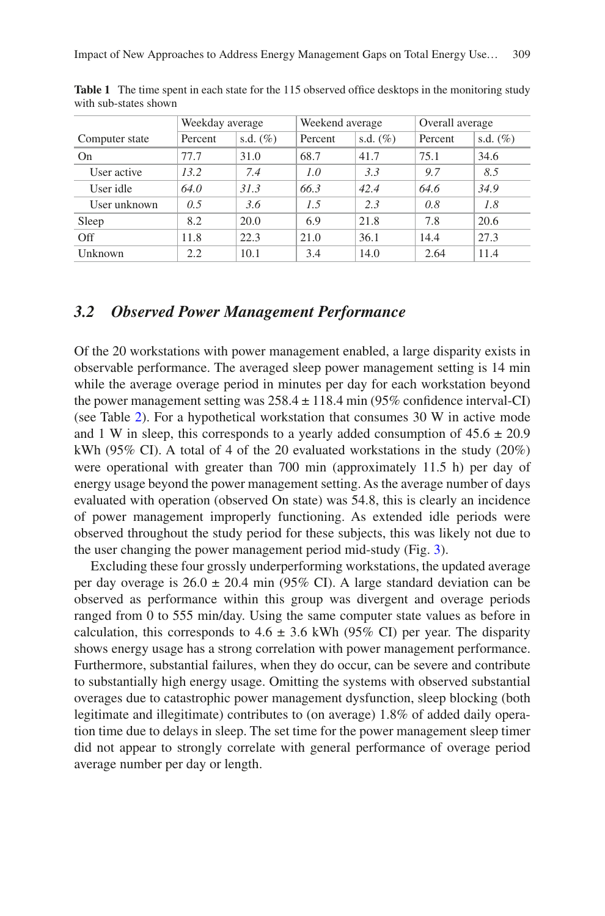|                | Weekday average |             | Weekend average |             | Overall average |             |
|----------------|-----------------|-------------|-----------------|-------------|-----------------|-------------|
| Computer state | Percent         | s.d. $(\%)$ | Percent         | s.d. $(\%)$ | Percent         | s.d. $(\%)$ |
| <b>On</b>      | 77.7            | 31.0        | 68.7            | 41.7        | 75.1            | 34.6        |
| User active    | 13.2            | 7.4         | 1.0             | 3.3         | 9.7             | 8.5         |
| User idle      | 64.0            | 31.3        | 66.3            | 42.4        | 64.6            | 34.9        |
| User unknown   | 0.5             | 3.6         | 1.5             | 2.3         | 0.8             | 1.8         |
| Sleep          | 8.2             | 20.0        | 6.9             | 21.8        | 7.8             | 20.6        |
| Off            | 11.8            | 22.3        | 21.0            | 36.1        | 14.4            | 27.3        |
| Unknown        | 2.2             | 10.1        | 3.4             | 14.0        | 2.64            | 11.4        |

<span id="page-6-0"></span>**Table 1** The time spent in each state for the 115 observed office desktops in the monitoring study with sub-states shown

#### *3.2 Observed Power Management Performance*

Of the 20 workstations with power management enabled, a large disparity exists in observable performance. The averaged sleep power management setting is 14 min while the average overage period in minutes per day for each workstation beyond the power management setting was  $258.4 \pm 118.4$  min (95% confidence interval-CI) (see Table [2](#page-7-0)). For a hypothetical workstation that consumes 30 W in active mode and 1 W in sleep, this corresponds to a yearly added consumption of  $45.6 \pm 20.9$ kWh (95% CI). A total of 4 of the 20 evaluated workstations in the study (20%) were operational with greater than 700 min (approximately 11.5 h) per day of energy usage beyond the power management setting. As the average number of days evaluated with operation (observed On state) was 54.8, this is clearly an incidence of power management improperly functioning. As extended idle periods were observed throughout the study period for these subjects, this was likely not due to the user changing the power management period mid-study (Fig. [3](#page-8-0)).

Excluding these four grossly underperforming workstations, the updated average per day overage is  $26.0 \pm 20.4$  min (95% CI). A large standard deviation can be observed as performance within this group was divergent and overage periods ranged from 0 to 555 min/day. Using the same computer state values as before in calculation, this corresponds to  $4.6 \pm 3.6$  kWh (95% CI) per year. The disparity shows energy usage has a strong correlation with power management performance. Furthermore, substantial failures, when they do occur, can be severe and contribute to substantially high energy usage. Omitting the systems with observed substantial overages due to catastrophic power management dysfunction, sleep blocking (both legitimate and illegitimate) contributes to (on average) 1.8% of added daily operation time due to delays in sleep. The set time for the power management sleep timer did not appear to strongly correlate with general performance of overage period average number per day or length.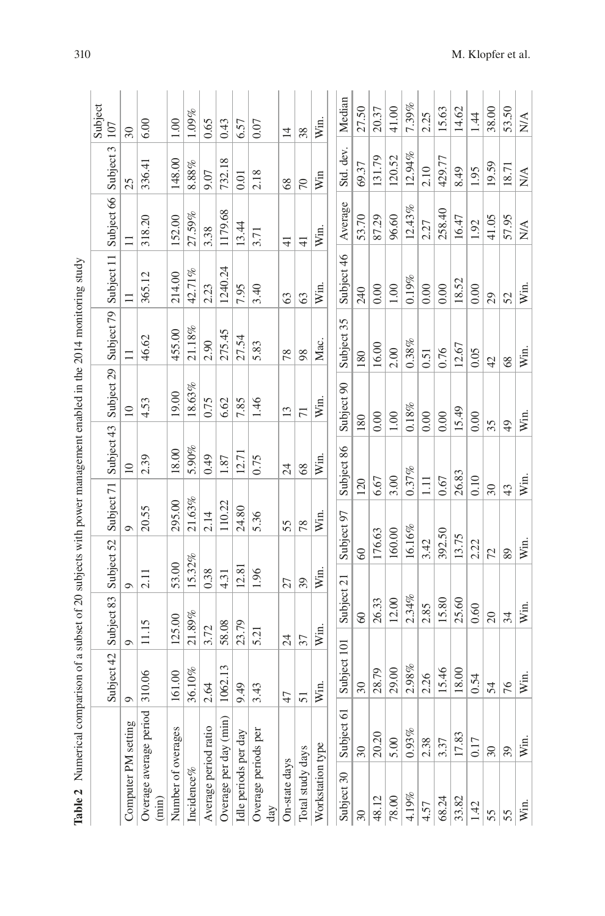<span id="page-7-0"></span>

|                                 |                          | Subject 42          | Subject 83      | Subject 52 | Subject 71 | Subject 43      | Subject 29      | Subject 79      | Subject 11    | Subject 66                      | Subject 3              | Subject<br>107         |
|---------------------------------|--------------------------|---------------------|-----------------|------------|------------|-----------------|-----------------|-----------------|---------------|---------------------------------|------------------------|------------------------|
| Computer PM setting             |                          | ా                   | Ó               | $\circ$    | っ          | $\overline{10}$ | $\overline{10}$ |                 |               |                                 | 25                     | $\overline{30}$        |
| Overage average period<br>(min) |                          | 10.06               | 11.15           | 2.11       | 20.55      | 2.39            | 4.53            | 46.62           | 365.12        | 318.20                          | 336.41                 | 6.00                   |
| Number of overages              |                          | 61.00               | 125.00          | 53.00      | 295.00     | 18.00           | 19.00           | 455.00          | 214.00        | 152.00                          | 148.00                 | 1.00                   |
| Incidence%                      |                          | 36.10%              | 21.89%          | 15.32%     | 21.63%     | 5.90%           | 18.63%          | 21.18%          | 42.71%        | 27.59%                          | $8.88\%$               | $1.09\%$               |
| Average period ratio            |                          | 2.64                | 3.72            | 0.38       | 2.14       | 0.49            | 0.75            | 2.90            | 2.23          | 3.38                            | 9.07                   | 0.65                   |
| Overage per day (min)           |                          | 062.13              | 58.08           | 4.31       | 110.22     | 1.87            | 6.62            | 275.45          | 1240.24       | 1179.68                         | 732.18                 | 0.43                   |
| Idle periods per day            |                          | 49<br>๑             | 23.79           | 12.81      | 24.80      | 12.71           | 7.85            | 27.54           | 7.95          | 13.44                           | 0.01                   | 6.57                   |
| Overage periods per<br>day      |                          | 43                  | 5.21            | 1.96       | 5.36       | 0.75            | 1.46            | 5.83            | 3.40          | 3.71                            | 2.18                   | 0.07                   |
| On-state days                   |                          | 47                  | $\overline{24}$ | 27         | 55         | 24              | 13              | 78              | 63            | $\overline{4}$                  | 68                     | $\overline{1}$         |
| Total study days                |                          | 51                  | 37              | 39         | 78         | 8 <sup>o</sup>  | 71              | 98              | $\mathcal{C}$ | $\frac{1}{4}$                   | $\sqrt{2}$             | 38                     |
| Workstation type                |                          | Win.                | Win.            | Win.       | Win.       | Win.            | Win.            | Mac.            | Win.          | Win.                            | Win                    | Win.                   |
| Subject 30                      | Subject 61               | Subject 101         | Subject 21      |            | Subject 97 | Subject 86      | Subject 90      | Subject 35      | Subject 46    | Average                         | Std. dev.              | Median                 |
| $\overline{\mathcal{E}}$        | $\infty$                 | $\overline{\omega}$ | $\degree$       | $\infty$   | 120        |                 | 180             | 180             | 240           | 53.70                           | 69.37                  | 27.50                  |
| 48.12                           | 20.20                    | 28.79               | 26.33           | 176.63     | 6.67       |                 | 0.00            | 16.00           | 0.00          | 87.29                           | 131.79                 | 20.37                  |
| 78.00                           | 5.00                     | 29.00               | 12.00           | 160.00     | 3.00       |                 | 1.00            | 2.00            | 1.00          | 96.60                           | 120.52                 | 41.00                  |
| 4.19%                           | 0.93%                    | $2.98\%$            | 2.34%           | 16.16%     |            | 0.37%           | 0.18%           | 0.38%           | 0.19%         | 12.43%                          | 12.94%                 | 7.39%                  |
| 4.57                            | 2.38                     | 2.26                | 2.85            | 3.42       | $\Xi$      |                 | 0.00            | 0.51            | 0.00          | 2.27                            | 2.10                   | 2.25                   |
| 68.24                           | 3.37                     | 15.46               | 15.80           | 392.50     | 0.67       |                 | 0.00            | 0.76            | 0.00          | 258.40                          | 429.77                 | 15.63                  |
| 33.82                           | 17.83                    | 18.00               | 25.60           | 13.75      |            | 26.83           | 15.49           | 12.67           | 18.52         | 16.47                           | 8.49                   | 14.62                  |
| 1.42                            | 0.17                     | 0.54                | 0.60            | 2.22       | 0.10       |                 | 0.00            | 0.05            | 0.00          | 1.92                            | 1.95                   | 1.44                   |
| 55                              | $\overline{\mathcal{E}}$ | 54                  | $\overline{c}$  | 72         | $30\,$     |                 | 35              | $\overline{42}$ | 29            | 41.05                           | 19.59                  | 38.00                  |
| 55                              | 39                       | 76                  | 34              | 89         | 43         |                 | $\overline{6}$  | 68              | 52            | 57.95                           | 18.71                  | 53.50                  |
| Win.                            | Win.                     | Win.                | Win.            | Win.       | Win.       |                 | Win.            | Win.            | Win.          | $\mathop{\rm NA}\limits^\Delta$ | $\mathbb{N}\mathbb{A}$ | $\mathbb{N}\mathbb{A}$ |

310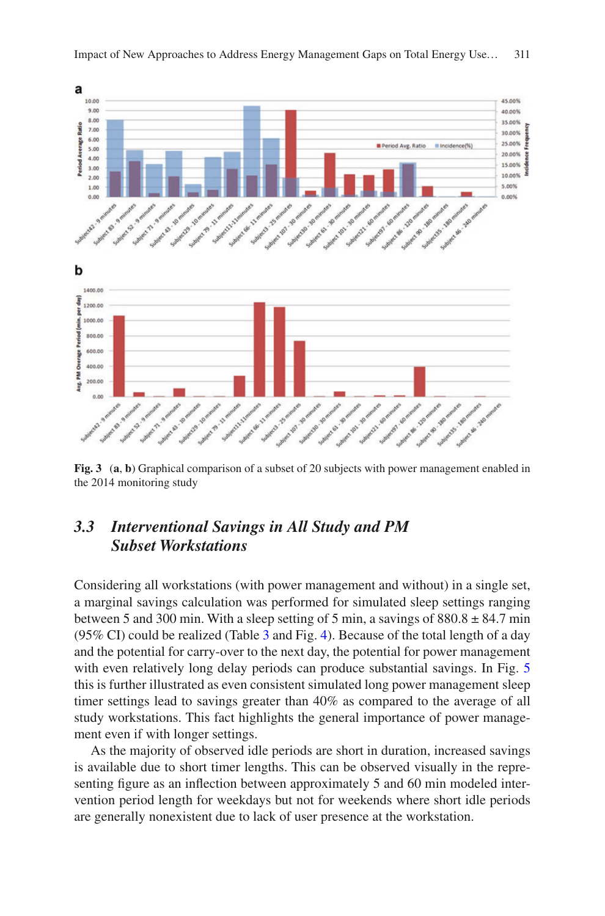<span id="page-8-0"></span>

**Fig. 3** (**a**, **b**) Graphical comparison of a subset of 20 subjects with power management enabled in the 2014 monitoring study

# *3.3 Interventional Savings in All Study and PM Subset Workstations*

Considering all workstations (with power management and without) in a single set, a marginal savings calculation was performed for simulated sleep settings ranging between 5 and 300 min. With a sleep setting of 5 min, a savings of  $880.8 \pm 84.7$  min (95% CI) could be realized (Table [3](#page-9-0) and Fig. [4\)](#page-9-1). Because of the total length of a day and the potential for carry-over to the next day, the potential for power management with even relatively long delay periods can produce substantial savings. In Fig. [5](#page-9-2) this is further illustrated as even consistent simulated long power management sleep timer settings lead to savings greater than 40% as compared to the average of all study workstations. This fact highlights the general importance of power management even if with longer settings.

As the majority of observed idle periods are short in duration, increased savings is available due to short timer lengths. This can be observed visually in the representing fgure as an infection between approximately 5 and 60 min modeled intervention period length for weekdays but not for weekends where short idle periods are generally nonexistent due to lack of user presence at the workstation.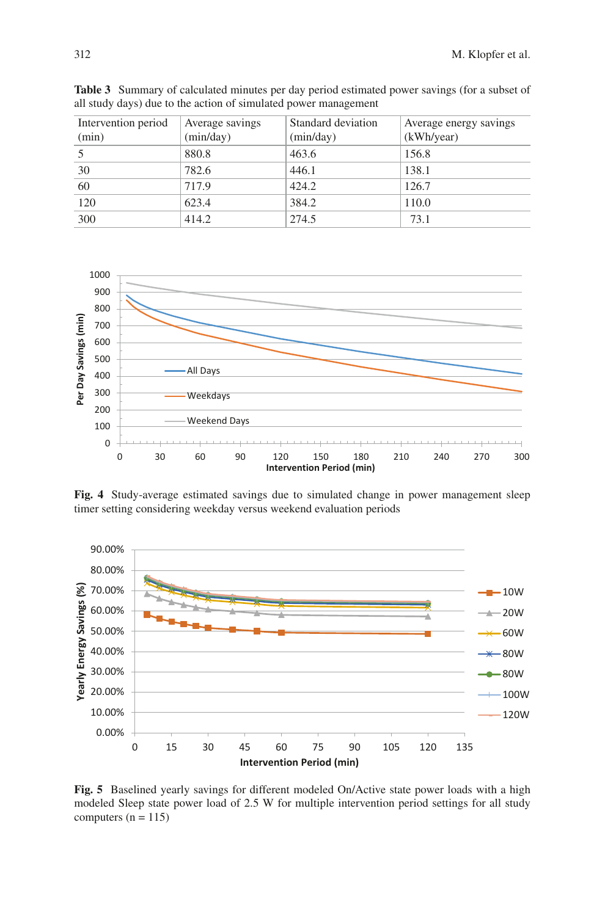| Intervention period | Average savings | Standard deviation | Average energy savings |
|---------------------|-----------------|--------------------|------------------------|
| (min)               | (min/day)       | (min/day)          | (kWh/year)             |
|                     | 880.8           | 463.6              | 156.8                  |
| 30                  | 782.6           | 446.1              | 138.1                  |
| 60                  | 717.9           | 424.2              | 126.7                  |
| 120                 | 623.4           | 384.2              | 110.0                  |
| 300                 | 414.2           | 274.5              | 73.1                   |

<span id="page-9-0"></span>**Table 3** Summary of calculated minutes per day period estimated power savings (for a subset of all study days) due to the action of simulated power management

<span id="page-9-1"></span>

**Fig. 4** Study-average estimated savings due to simulated change in power management sleep timer setting considering weekday versus weekend evaluation periods

<span id="page-9-2"></span>

**Fig. 5** Baselined yearly savings for different modeled On/Active state power loads with a high modeled Sleep state power load of 2.5 W for multiple intervention period settings for all study computers  $(n = 115)$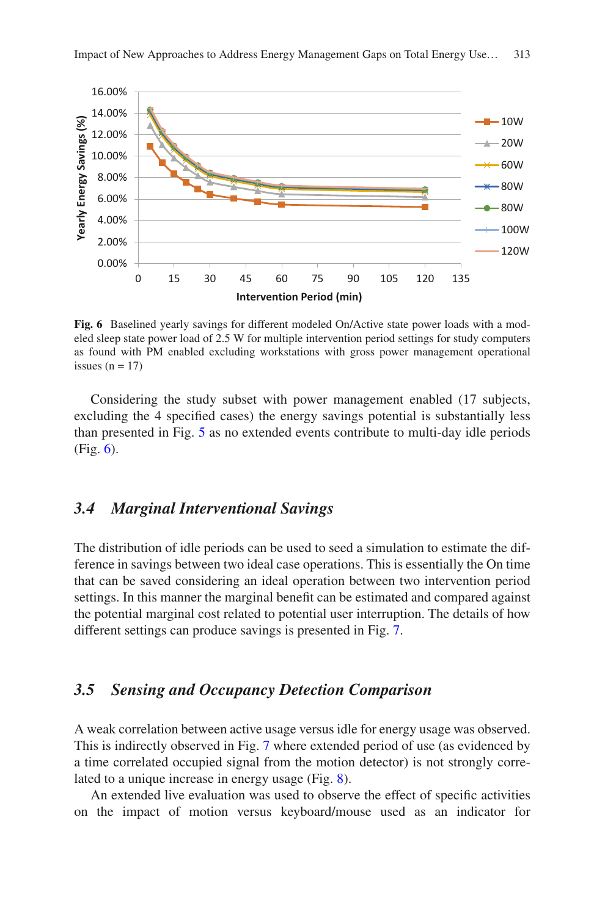<span id="page-10-0"></span>

**Fig. 6** Baselined yearly savings for different modeled On/Active state power loads with a modeled sleep state power load of 2.5 W for multiple intervention period settings for study computers as found with PM enabled excluding workstations with gross power management operational issues  $(n = 17)$ 

Considering the study subset with power management enabled (17 subjects, excluding the 4 specifed cases) the energy savings potential is substantially less than presented in Fig. [5](#page-9-2) as no extended events contribute to multi-day idle periods (Fig. [6\)](#page-10-0).

#### *3.4 Marginal Interventional Savings*

The distribution of idle periods can be used to seed a simulation to estimate the difference in savings between two ideal case operations. This is essentially the On time that can be saved considering an ideal operation between two intervention period settings. In this manner the marginal beneft can be estimated and compared against the potential marginal cost related to potential user interruption. The details of how different settings can produce savings is presented in Fig. [7.](#page-11-0)

## *3.5 Sensing and Occupancy Detection Comparison*

A weak correlation between active usage versus idle for energy usage was observed. This is indirectly observed in Fig. [7](#page-11-0) where extended period of use (as evidenced by a time correlated occupied signal from the motion detector) is not strongly correlated to a unique increase in energy usage (Fig. [8\)](#page-12-0).

An extended live evaluation was used to observe the effect of specifc activities on the impact of motion versus keyboard/mouse used as an indicator for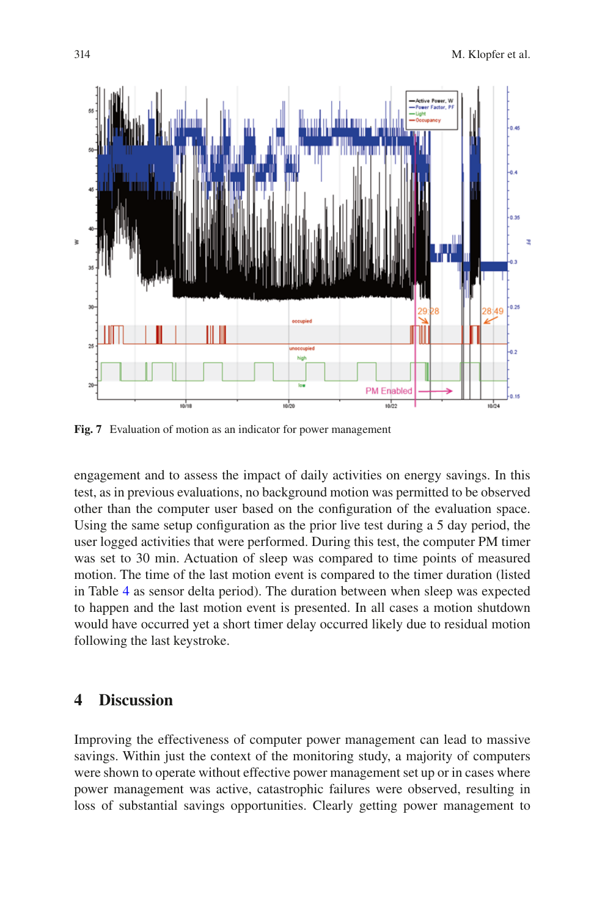<span id="page-11-0"></span>

**Fig. 7** Evaluation of motion as an indicator for power management

engagement and to assess the impact of daily activities on energy savings. In this test, as in previous evaluations, no background motion was permitted to be observed other than the computer user based on the confguration of the evaluation space. Using the same setup confguration as the prior live test during a 5 day period, the user logged activities that were performed. During this test, the computer PM timer was set to 30 min. Actuation of sleep was compared to time points of measured motion. The time of the last motion event is compared to the timer duration (listed in Table [4](#page-13-0) as sensor delta period). The duration between when sleep was expected to happen and the last motion event is presented. In all cases a motion shutdown would have occurred yet a short timer delay occurred likely due to residual motion following the last keystroke.

#### **4 Discussion**

Improving the effectiveness of computer power management can lead to massive savings. Within just the context of the monitoring study, a majority of computers were shown to operate without effective power management set up or in cases where power management was active, catastrophic failures were observed, resulting in loss of substantial savings opportunities. Clearly getting power management to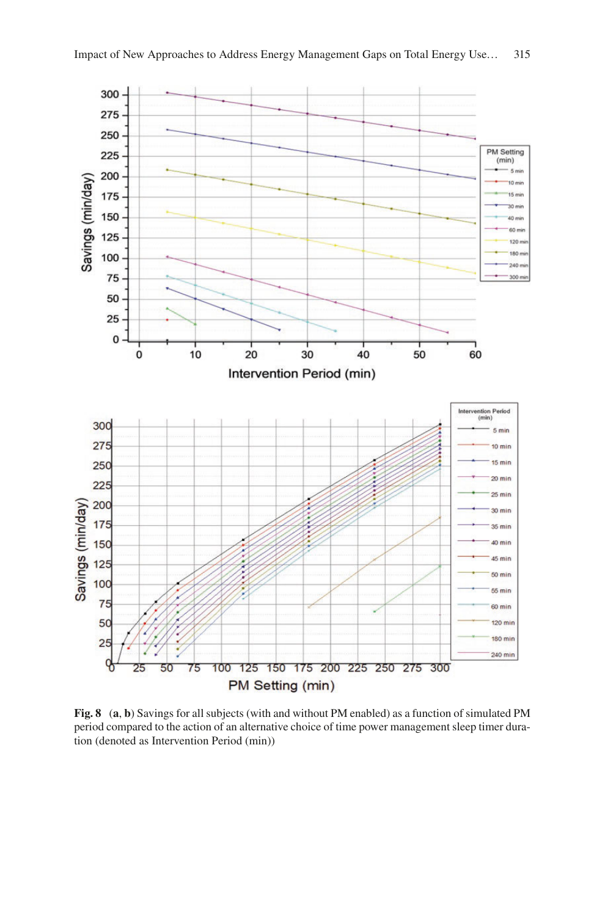<span id="page-12-0"></span>

**Fig. 8** (**a**, **b**) Savings for all subjects (with and without PM enabled) as a function of simulated PM period compared to the action of an alternative choice of time power management sleep timer duration (denoted as Intervention Period (min))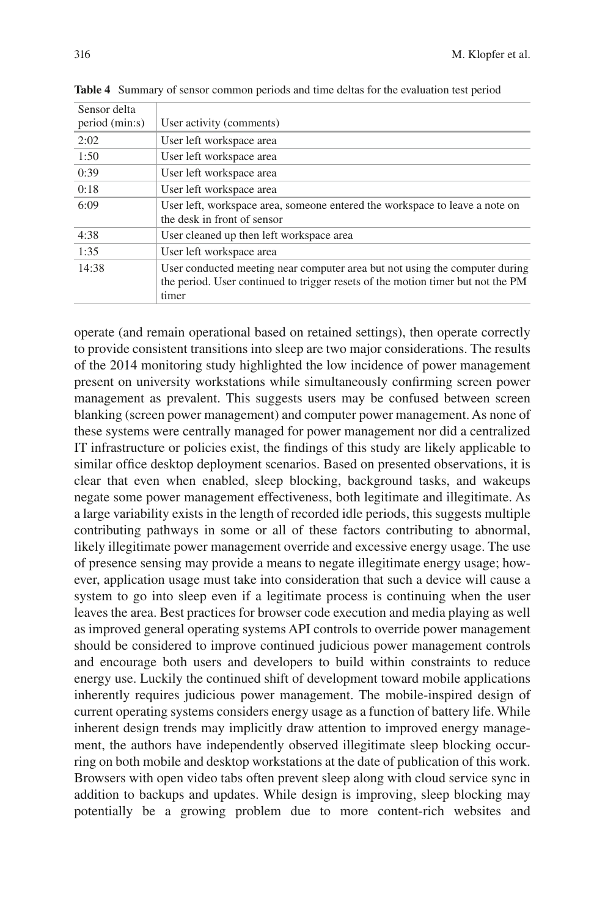| Sensor delta   |                                                                                                                                                                         |
|----------------|-------------------------------------------------------------------------------------------------------------------------------------------------------------------------|
| period (min:s) | User activity (comments)                                                                                                                                                |
| 2:02           | User left workspace area                                                                                                                                                |
| 1:50           | User left workspace area                                                                                                                                                |
| 0:39           | User left workspace area                                                                                                                                                |
| 0:18           | User left workspace area                                                                                                                                                |
| 6:09           | User left, workspace area, someone entered the workspace to leave a note on<br>the desk in front of sensor                                                              |
| 4:38           | User cleaned up then left workspace area                                                                                                                                |
| 1:35           | User left workspace area                                                                                                                                                |
| 14:38          | User conducted meeting near computer area but not using the computer during<br>the period. User continued to trigger resets of the motion timer but not the PM<br>timer |

<span id="page-13-0"></span>**Table 4** Summary of sensor common periods and time deltas for the evaluation test period

operate (and remain operational based on retained settings), then operate correctly to provide consistent transitions into sleep are two major considerations. The results of the 2014 monitoring study highlighted the low incidence of power management present on university workstations while simultaneously confrming screen power management as prevalent. This suggests users may be confused between screen blanking (screen power management) and computer power management. As none of these systems were centrally managed for power management nor did a centralized IT infrastructure or policies exist, the fndings of this study are likely applicable to similar office desktop deployment scenarios. Based on presented observations, it is clear that even when enabled, sleep blocking, background tasks, and wakeups negate some power management effectiveness, both legitimate and illegitimate. As a large variability exists in the length of recorded idle periods, this suggests multiple contributing pathways in some or all of these factors contributing to abnormal, likely illegitimate power management override and excessive energy usage. The use of presence sensing may provide a means to negate illegitimate energy usage; however, application usage must take into consideration that such a device will cause a system to go into sleep even if a legitimate process is continuing when the user leaves the area. Best practices for browser code execution and media playing as well as improved general operating systems API controls to override power management should be considered to improve continued judicious power management controls and encourage both users and developers to build within constraints to reduce energy use. Luckily the continued shift of development toward mobile applications inherently requires judicious power management. The mobile-inspired design of current operating systems considers energy usage as a function of battery life. While inherent design trends may implicitly draw attention to improved energy management, the authors have independently observed illegitimate sleep blocking occurring on both mobile and desktop workstations at the date of publication of this work. Browsers with open video tabs often prevent sleep along with cloud service sync in addition to backups and updates. While design is improving, sleep blocking may potentially be a growing problem due to more content-rich websites and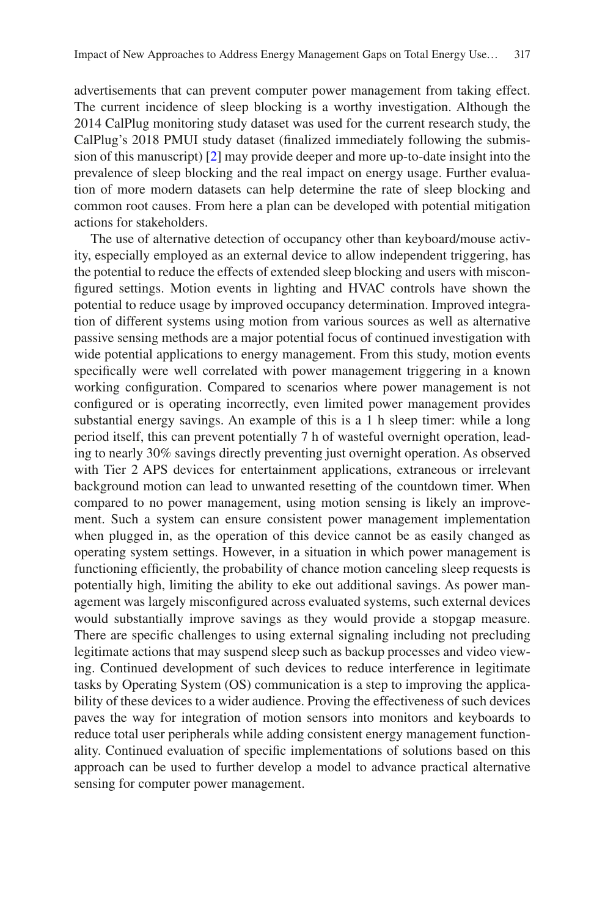advertisements that can prevent computer power management from taking effect. The current incidence of sleep blocking is a worthy investigation. Although the 2014 CalPlug monitoring study dataset was used for the current research study, the CalPlug's 2018 PMUI study dataset (fnalized immediately following the submission of this manuscript) [[2\]](#page-15-1) may provide deeper and more up-to-date insight into the prevalence of sleep blocking and the real impact on energy usage. Further evaluation of more modern datasets can help determine the rate of sleep blocking and common root causes. From here a plan can be developed with potential mitigation actions for stakeholders.

The use of alternative detection of occupancy other than keyboard/mouse activity, especially employed as an external device to allow independent triggering, has the potential to reduce the effects of extended sleep blocking and users with misconfgured settings. Motion events in lighting and HVAC controls have shown the potential to reduce usage by improved occupancy determination. Improved integration of different systems using motion from various sources as well as alternative passive sensing methods are a major potential focus of continued investigation with wide potential applications to energy management. From this study, motion events specifcally were well correlated with power management triggering in a known working confguration. Compared to scenarios where power management is not confgured or is operating incorrectly, even limited power management provides substantial energy savings. An example of this is a 1 h sleep timer: while a long period itself, this can prevent potentially 7 h of wasteful overnight operation, leading to nearly 30% savings directly preventing just overnight operation. As observed with Tier 2 APS devices for entertainment applications, extraneous or irrelevant background motion can lead to unwanted resetting of the countdown timer. When compared to no power management, using motion sensing is likely an improvement. Such a system can ensure consistent power management implementation when plugged in, as the operation of this device cannot be as easily changed as operating system settings. However, in a situation in which power management is functioning effciently, the probability of chance motion canceling sleep requests is potentially high, limiting the ability to eke out additional savings. As power management was largely misconfgured across evaluated systems, such external devices would substantially improve savings as they would provide a stopgap measure. There are specifc challenges to using external signaling including not precluding legitimate actions that may suspend sleep such as backup processes and video viewing. Continued development of such devices to reduce interference in legitimate tasks by Operating System (OS) communication is a step to improving the applicability of these devices to a wider audience. Proving the effectiveness of such devices paves the way for integration of motion sensors into monitors and keyboards to reduce total user peripherals while adding consistent energy management functionality. Continued evaluation of specifc implementations of solutions based on this approach can be used to further develop a model to advance practical alternative sensing for computer power management.